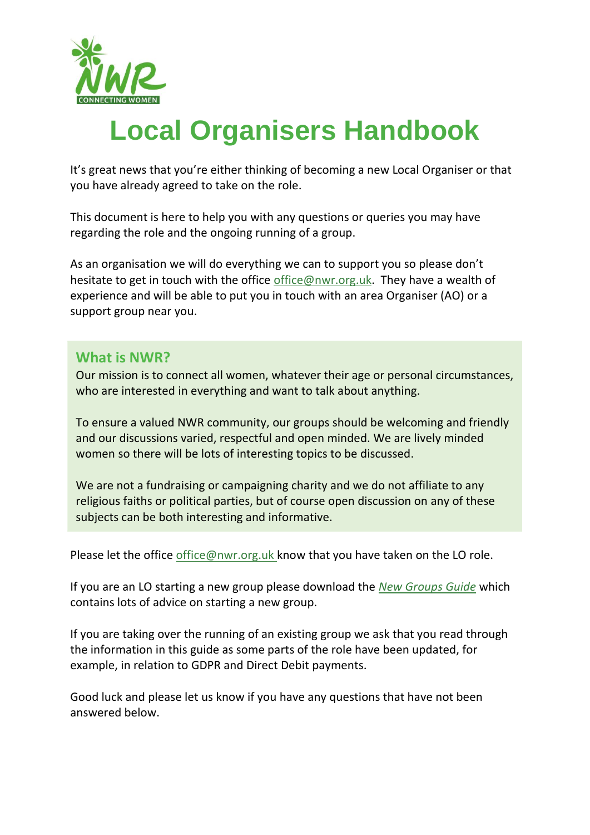

# **Local Organisers Handbook**

It's great news that you're either thinking of becoming a new Local Organiser or that you have already agreed to take on the role.

This document is here to help you with any questions or queries you may have regarding the role and the ongoing running of a group.

As an organisation we will do everything we can to support you so please don't hesitate to get in touch with the office [office@nwr.org.uk.](mailto:office@nwr.org.uk) They have a wealth of experience and will be able to put you in touch with an area Organiser (AO) or a support group near you.

#### **What is NWR?**

Our mission is to connect all women, whatever their age or personal circumstances, who are interested in everything and want to talk about anything.

To ensure a valued NWR community, our groups should be welcoming and friendly and our discussions varied, respectful and open minded. We are lively minded women so there will be lots of interesting topics to be discussed.

We are not a fundraising or campaigning charity and we do not affiliate to any religious faiths or political parties, but of course open discussion on any of these subjects can be both interesting and informative.

Please let the office [office@nwr.org.uk](mailto:office@nwr.org.uk) know that you have taken on the LO role.

If you are an LO starting a new group please download the *[New Groups Guide](https://nwr.org.uk/about/resources-for-nwr-volunteers/)* which contains lots of advice on starting a new group.

If you are taking over the running of an existing group we ask that you read through the information in this guide as some parts of the role have been updated, for example, in relation to GDPR and Direct Debit payments.

Good luck and please let us know if you have any questions that have not been answered below.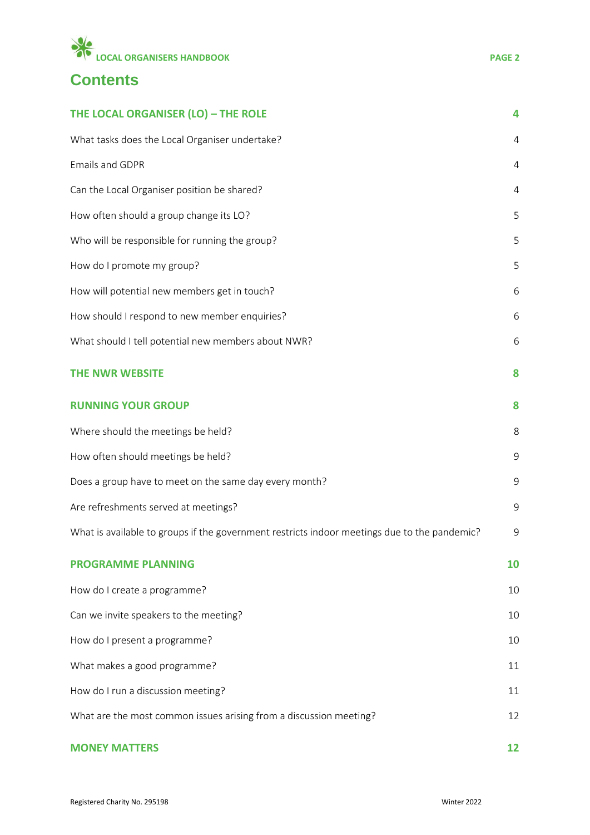

# **Contents**

| THE LOCAL ORGANISER (LO) - THE ROLE                                                          | 4           |
|----------------------------------------------------------------------------------------------|-------------|
| What tasks does the Local Organiser undertake?                                               | 4           |
| <b>Emails and GDPR</b>                                                                       | 4           |
| Can the Local Organiser position be shared?                                                  | 4           |
| How often should a group change its LO?                                                      | 5           |
| Who will be responsible for running the group?                                               | 5           |
| How do I promote my group?                                                                   | 5           |
| How will potential new members get in touch?                                                 | 6           |
| How should I respond to new member enquiries?                                                | 6           |
| What should I tell potential new members about NWR?                                          | 6           |
| <b>THE NWR WEBSITE</b>                                                                       | 8           |
| <b>RUNNING YOUR GROUP</b>                                                                    | 8           |
| Where should the meetings be held?                                                           | 8           |
| How often should meetings be held?                                                           | 9           |
| Does a group have to meet on the same day every month?                                       | $\mathsf 9$ |
| Are refreshments served at meetings?                                                         | $\mathsf 9$ |
| What is available to groups if the government restricts indoor meetings due to the pandemic? | 9           |
| <b>PROGRAMME PLANNING</b>                                                                    | 10          |
| How do I create a programme?                                                                 | 10          |
| Can we invite speakers to the meeting?                                                       | 10          |
| How do I present a programme?                                                                | 10          |
| What makes a good programme?                                                                 | 11          |
| How do I run a discussion meeting?                                                           | 11          |
| What are the most common issues arising from a discussion meeting?                           | 12          |
| <b>MONEY MATTERS</b>                                                                         | 12          |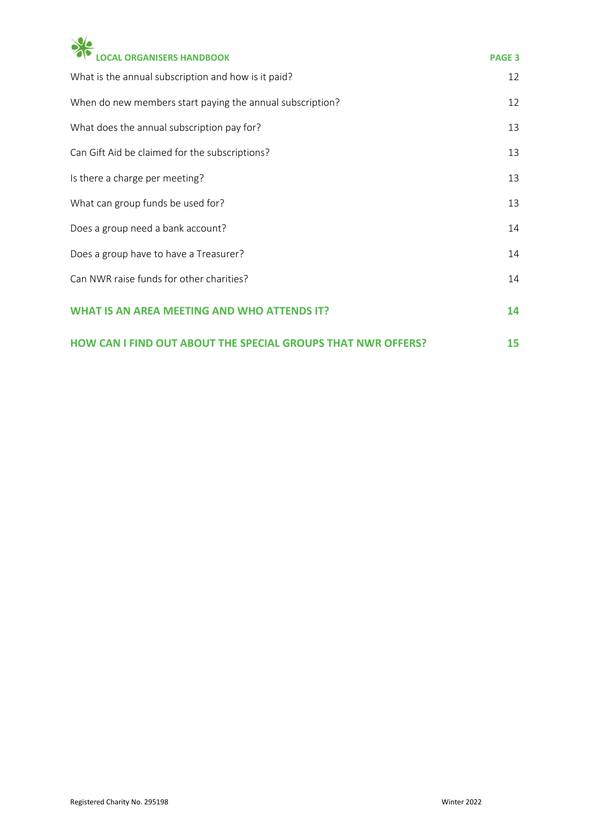| <b>CAL ORGANISERS HANDBOOK</b>                            | <b>PAGE 3</b> |
|-----------------------------------------------------------|---------------|
| What is the annual subscription and how is it paid?       | 12            |
| When do new members start paying the annual subscription? | 12            |
| What does the annual subscription pay for?                | 13            |
| Can Gift Aid be claimed for the subscriptions?            | 13            |
| Is there a charge per meeting?                            | 13            |
| What can group funds be used for?                         | 13            |
| Does a group need a bank account?                         | 14            |
| Does a group have to have a Treasurer?                    | 14            |
| Can NWR raise funds for other charities?                  | 14            |
| <b>AN AREA MEETING AND WHO ATTEND</b>                     | 14            |

|  |  | <b>HOW CAN I FIND OUT ABOUT THE SPECIAL GROUPS THAT NWR OFFERS?</b> |  |  |
|--|--|---------------------------------------------------------------------|--|--|
|  |  |                                                                     |  |  |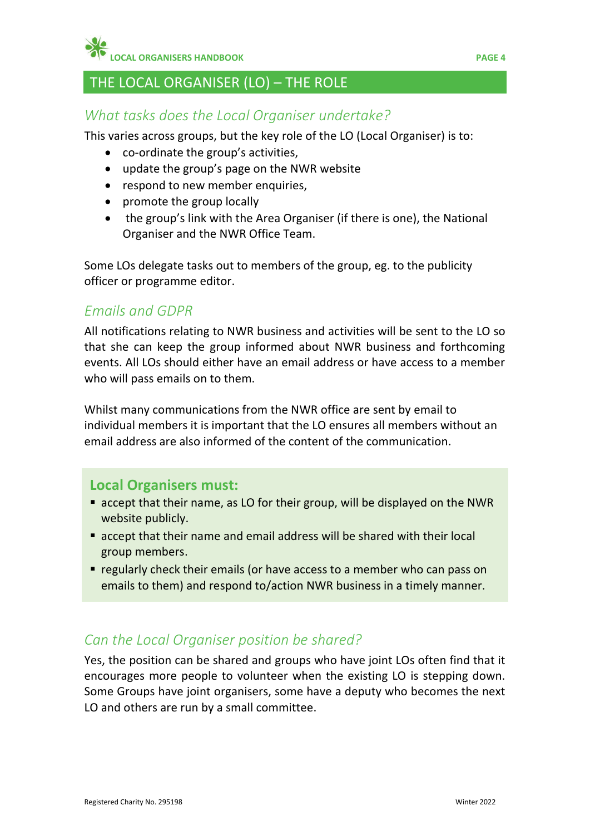**LOCAL ORGANISERS HANDBOOK PAGE 4**

# <span id="page-3-0"></span>THE LOCAL ORGANISER (LO) – THE ROLE

# <span id="page-3-1"></span>*What tasks does the Local Organiser undertake?*

This varies across groups, but the key role of the LO (Local Organiser) is to:

- co-ordinate the group's activities,
- update the group's page on the NWR website
- respond to new member enquiries,
- promote the group locally
- the group's link with the Area Organiser (if there is one), the National Organiser and the NWR Office Team.

Some LOs delegate tasks out to members of the group, eg. to the publicity officer or programme editor.

## <span id="page-3-2"></span>*Emails and GDPR*

All notifications relating to NWR business and activities will be sent to the LO so that she can keep the group informed about NWR business and forthcoming events. All LOs should either have an email address or have access to a member who will pass emails on to them.

Whilst many communications from the NWR office are sent by email to individual members it is important that the LO ensures all members without an email address are also informed of the content of the communication.

#### **Local Organisers must:**

- accept that their name, as LO for their group, will be displayed on the NWR website publicly.
- accept that their name and email address will be shared with their local group members.
- regularly check their emails (or have access to a member who can pass on emails to them) and respond to/action NWR business in a timely manner.

## <span id="page-3-3"></span>*Can the Local Organiser position be shared?*

Yes, the position can be shared and groups who have joint LOs often find that it encourages more people to volunteer when the existing LO is stepping down. Some Groups have joint organisers, some have a deputy who becomes the next LO and others are run by a small committee.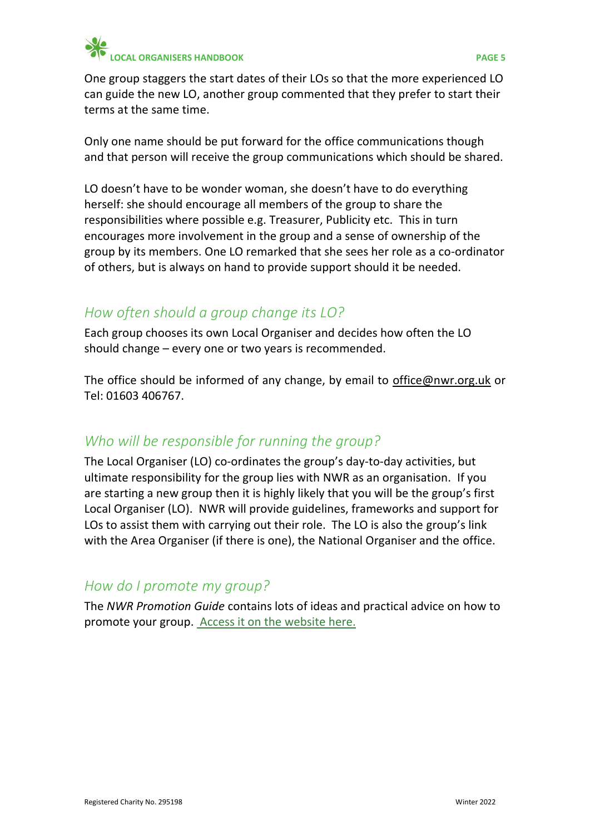

One group staggers the start dates of their LOs so that the more experienced LO can guide the new LO, another group commented that they prefer to start their terms at the same time.

Only one name should be put forward for the office communications though and that person will receive the group communications which should be shared.

LO doesn't have to be wonder woman, she doesn't have to do everything herself: she should encourage all members of the group to share the responsibilities where possible e.g. Treasurer, Publicity etc. This in turn encourages more involvement in the group and a sense of ownership of the group by its members. One LO remarked that she sees her role as a co-ordinator of others, but is always on hand to provide support should it be needed.

# <span id="page-4-0"></span>*How often should a group change its LO?*

Each group chooses its own Local Organiser and decides how often the LO should change – every one or two years is recommended.

The office should be informed of any change, by email to [office@nwr.org.uk](mailto:office@nwr.org.uk) or Tel: 01603 406767.

## <span id="page-4-1"></span>*Who will be responsible for running the group?*

The Local Organiser (LO) co-ordinates the group's day-to-day activities, but ultimate responsibility for the group lies with NWR as an organisation. If you are starting a new group then it is highly likely that you will be the group's first Local Organiser (LO). NWR will provide guidelines, frameworks and support for LOs to assist them with carrying out their role. The LO is also the group's link with the Area Organiser (if there is one), the National Organiser and the office.

# <span id="page-4-2"></span>*How do I promote my group?*

The *NWR Promotion Guide* contains lots of ideas and practical advice on how to promote your group. [Access it on the website here.](https://nwr.org.uk/about/resources-for-nwr-volunteers/)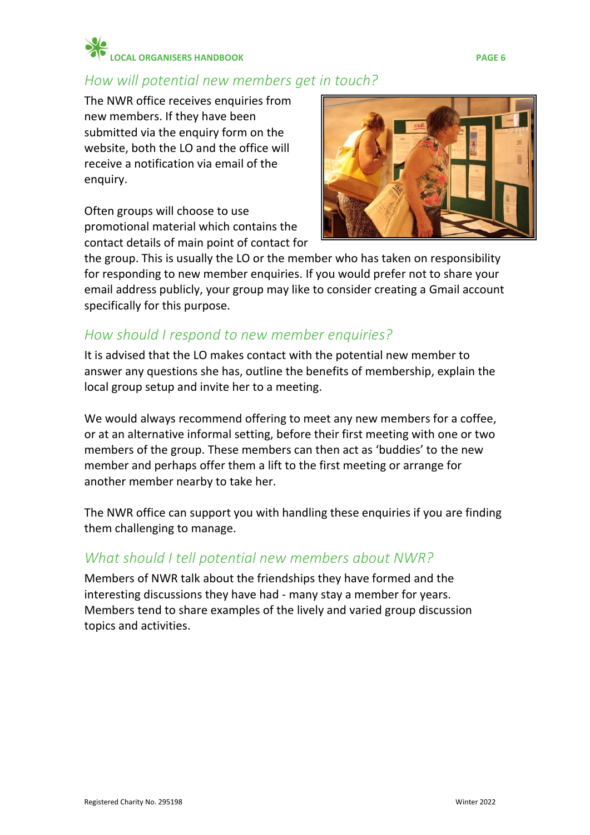# **LOCAL ORGANISERS HANDBOOK PAGE 6**

# <span id="page-5-0"></span>*How will potential new members get in touch?*

The NWR office receives enquiries from new members. If they have been submitted via the enquiry form on the website, both the LO and the office will receive a notification via email of the enquiry.

Often groups will choose to use promotional material which contains the contact details of main point of contact for



the group. This is usually the LO or the member who has taken on responsibility for responding to new member enquiries. If you would prefer not to share your email address publicly, your group may like to consider creating a Gmail account specifically for this purpose.

# <span id="page-5-1"></span>*How should I respond to new member enquiries?*

It is advised that the LO makes contact with the potential new member to answer any questions she has, outline the benefits of membership, explain the local group setup and invite her to a meeting.

We would always recommend offering to meet any new members for a coffee, or at an alternative informal setting, before their first meeting with one or two members of the group. These members can then act as 'buddies' to the new member and perhaps offer them a lift to the first meeting or arrange for another member nearby to take her.

The NWR office can support you with handling these enquiries if you are finding them challenging to manage.

## <span id="page-5-2"></span>*What should I tell potential new members about NWR?*

Members of NWR talk about the friendships they have formed and the interesting discussions they have had - many stay a member for years. Members tend to share examples of the lively and varied group discussion topics and activities.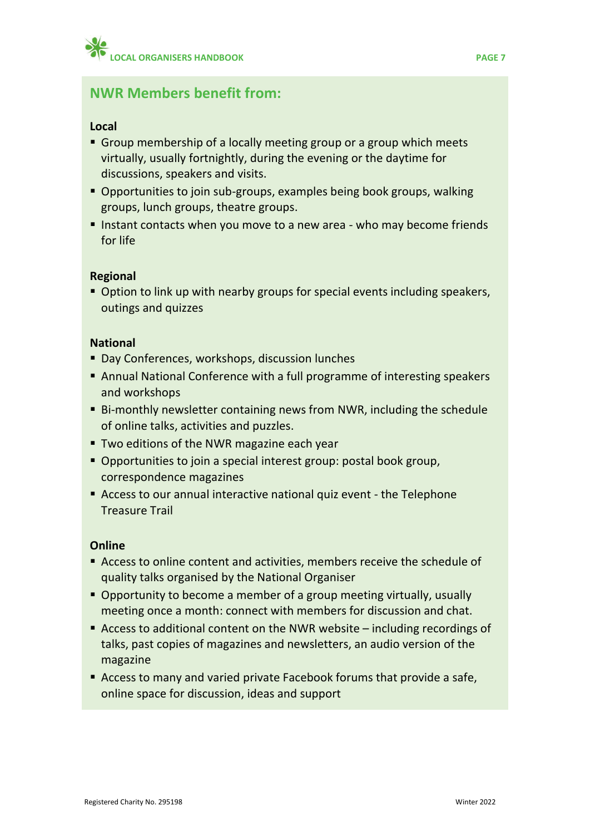## **NWR Members benefit from:**

#### **Local**

- Group membership of a locally meeting group or a group which meets virtually, usually fortnightly, during the evening or the daytime for discussions, speakers and visits.
- Opportunities to join sub-groups, examples being book groups, walking groups, lunch groups, theatre groups.
- Instant contacts when you move to a new area who may become friends for life

#### **Regional**

■ Option to link up with nearby groups for special events including speakers, outings and quizzes

#### **National**

- Day Conferences, workshops, discussion lunches
- Annual National Conference with a full programme of interesting speakers and workshops
- Bi-monthly newsletter containing news from NWR, including the schedule of online talks, activities and puzzles.
- **Two editions of the NWR magazine each year**
- Opportunities to join a special interest group: postal book group, correspondence magazines
- Access to our annual interactive national quiz event the Telephone Treasure Trail

#### **Online**

- Access to online content and activities, members receive the schedule of quality talks organised by the National Organiser
- Opportunity to become a member of a group meeting virtually, usually meeting once a month: connect with members for discussion and chat.
- Access to additional content on the NWR website including recordings of talks, past copies of magazines and newsletters, an audio version of the magazine
- Access to many and varied private Facebook forums that provide a safe, online space for discussion, ideas and support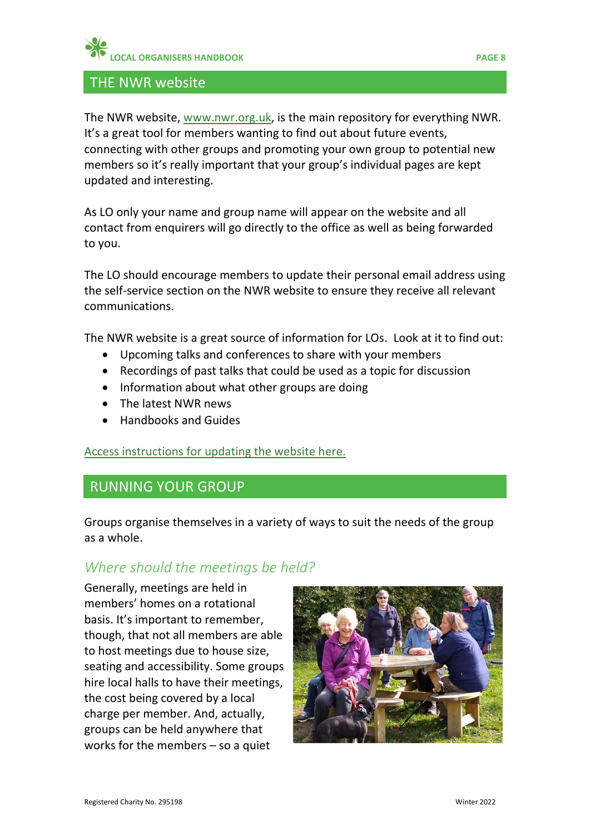#### <span id="page-7-0"></span>THE NWR website

The NWR website, [www.nwr.org.uk,](http://www.nwr.org.uk/) is the main repository for everything NWR. It's a great tool for members wanting to find out about future events, connecting with other groups and promoting your own group to potential new members so it's really important that your group's individual pages are kept updated and interesting.

As LO only your name and group name will appear on the website and all contact from enquirers will go directly to the office as well as being forwarded to you.

The LO should encourage members to update their personal email address using the self-service section on the NWR website to ensure they receive all relevant communications.

The NWR website is a great source of information for LOs. Look at it to find out:

- Upcoming talks and conferences to share with your members
- Recordings of past talks that could be used as a topic for discussion
- Information about what other groups are doing
- The latest NWR news
- Handbooks and Guides

[Access instructions for updating the website here.](https://nwr.org.uk/about/resources-for-nwr-volunteers/)

## <span id="page-7-1"></span>RUNNING YOUR GROUP

Groups organise themselves in a variety of ways to suit the needs of the group as a whole.

# <span id="page-7-2"></span>*Where should the meetings be held?*

Generally, meetings are held in members' homes on a rotational basis. It's important to remember, though, that not all members are able to host meetings due to house size, seating and accessibility. Some groups hire local halls to have their meetings, the cost being covered by a local charge per member. And, actually, groups can be held anywhere that works for the members – so a quiet

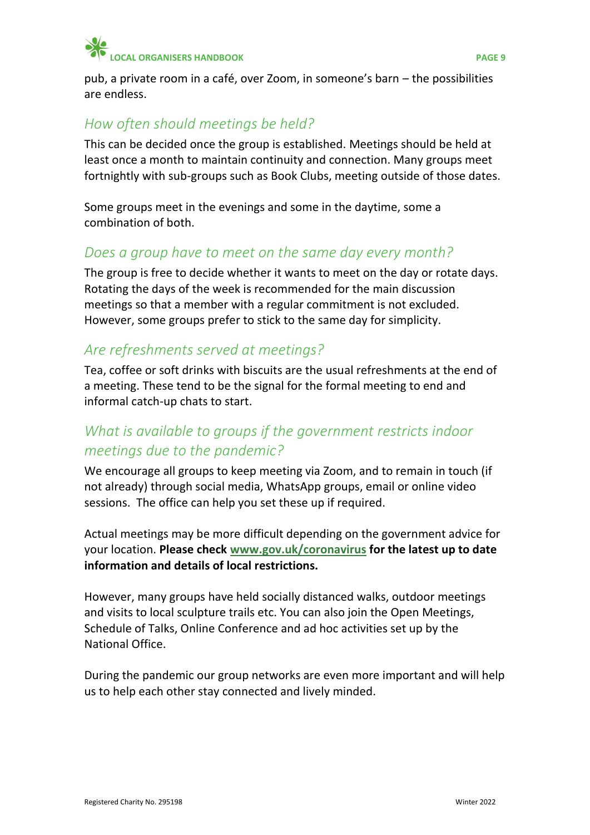

pub, a private room in a café, over Zoom, in someone's barn – the possibilities are endless.

# <span id="page-8-0"></span>*How often should meetings be held?*

This can be decided once the group is established. Meetings should be held at least once a month to maintain continuity and connection. Many groups meet fortnightly with sub-groups such as Book Clubs, meeting outside of those dates.

Some groups meet in the evenings and some in the daytime, some a combination of both.

## <span id="page-8-1"></span>*Does a group have to meet on the same day every month?*

The group is free to decide whether it wants to meet on the day or rotate days. Rotating the days of the week is recommended for the main discussion meetings so that a member with a regular commitment is not excluded. However, some groups prefer to stick to the same day for simplicity.

## <span id="page-8-2"></span>*Are refreshments served at meetings?*

Tea, coffee or soft drinks with biscuits are the usual refreshments at the end of a meeting. These tend to be the signal for the formal meeting to end and informal catch-up chats to start.

# <span id="page-8-3"></span>*What is available to groups if the government restricts indoor meetings due to the pandemic?*

We encourage all groups to keep meeting via Zoom, and to remain in touch (if not already) through social media, WhatsApp groups, email or online video sessions. The office can help you set these up if required.

Actual meetings may be more difficult depending on the government advice for your location. **Please check [www.gov.uk/coronavirus](https://www.gov.uk/coronavirus) for the latest up to date information and details of local restrictions.**

However, many groups have held socially distanced walks, outdoor meetings and visits to local sculpture trails etc. You can also join the Open Meetings, Schedule of Talks, Online Conference and ad hoc activities set up by the National Office.

During the pandemic our group networks are even more important and will help us to help each other stay connected and lively minded.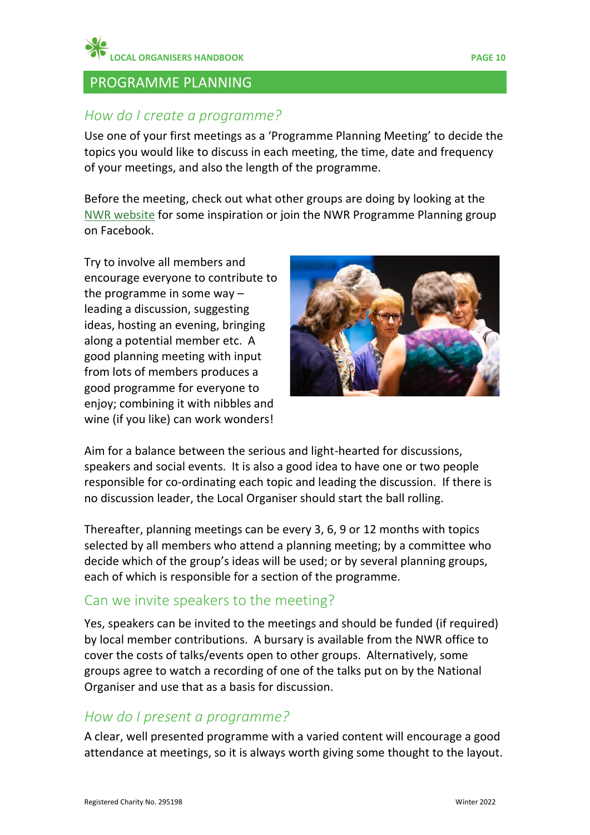

#### <span id="page-9-0"></span>PROGRAMME PLANNING

#### <span id="page-9-1"></span>*How do I create a programme?*

Use one of your first meetings as a 'Programme Planning Meeting' to decide the topics you would like to discuss in each meeting, the time, date and frequency of your meetings, and also the length of the programme.

Before the meeting, check out [what](http://what/) other groups are doing by looking at the [NWR website](http://www.nwr.org.uk/) for some inspiration or join the NWR Programme Planning group on Facebook.

Try to involve all members and encourage everyone to contribute to the programme in some way – leading a discussion, suggesting ideas, hosting an evening, bringing along a potential member etc. A good planning meeting with input from lots of members produces a good programme for everyone to enjoy; combining it with nibbles and wine (if you like) can work wonders!



Aim for a balance between the serious and light-hearted for discussions, speakers and social events. It is also a good idea to have one or two people responsible for co-ordinating each topic and leading the discussion. If there is no discussion leader, the Local Organiser should start the ball rolling.

Thereafter, planning meetings can be every 3, 6, 9 or 12 months with topics selected by all members who attend a planning meeting; by a committee who decide which of the group's ideas will be used; or by several planning groups, each of which is responsible for a section of the programme.

#### <span id="page-9-2"></span>Can we invite speakers to the meeting?

Yes, speakers can be invited to the meetings and should be funded (if required) by local member contributions. A bursary is available from the NWR office to cover the costs of talks/events open to other groups. Alternatively, some groups agree to watch a recording of one of the talks put on by the National Organiser and use that as a basis for discussion.

#### <span id="page-9-3"></span>*How do I present a programme?*

A clear, well presented programme with a varied content will encourage a good attendance at meetings, so it is always worth giving some thought to the layout.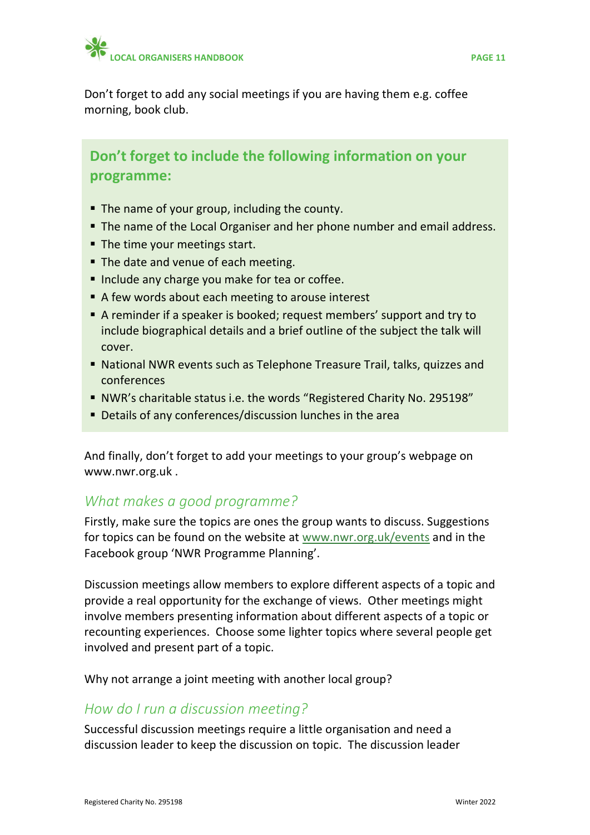

Don't forget to add any social meetings if you are having them e.g. coffee morning, book club.

# **Don't forget to include the following information on your programme:**

- The name of your group, including the county.
- The name of the Local Organiser and her phone number and email address.
- The time your meetings start.
- The date and venue of each meeting.
- **Include any charge you make for tea or coffee.**
- A few words about each meeting to arouse interest
- A reminder if a speaker is booked; request members' support and try to include biographical details and a brief outline of the subject the talk will cover.
- National NWR events such as Telephone Treasure Trail, talks, quizzes and conferences
- NWR's charitable status i.e. the words "Registered Charity No. 295198"
- Details of any conferences/discussion lunches in the area

And finally, don't forget to add your meetings to your group's webpage on [www.nwr.org.uk](http://www.nwr.org.uk/) .

## <span id="page-10-0"></span>*What makes a good programme?*

Firstly, make sure the topics are ones the group wants to discuss. Suggestions for topics can be found on the website at [www.nwr.org.uk/events](http://www.nwr.org.uk/events) and in the Facebook group 'NWR Programme Planning'.

Discussion meetings allow members to explore different aspects of a topic and provide a real opportunity for the exchange of views. Other meetings might involve members presenting information about different aspects of a topic or recounting experiences. Choose some lighter topics where several people get involved and present part of a topic.

<span id="page-10-1"></span>Why not arrange a joint meeting with another local group?

## *How do I run a discussion meeting?*

Successful discussion meetings require a little organisation and need a discussion leader to keep the discussion on topic. The discussion leader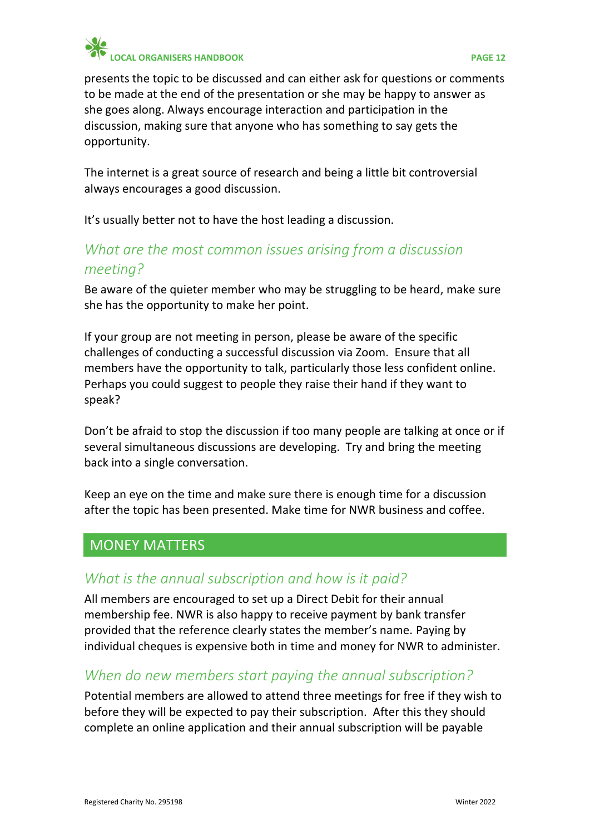

presents the topic to be discussed and can either ask for questions or comments to be made at the end of the presentation or she may be happy to answer as she goes along. Always encourage interaction and participation in the discussion, making sure that anyone who has something to say gets the opportunity.

The internet is a great source of research and being a little bit controversial always encourages a good discussion.

<span id="page-11-0"></span>It's usually better not to have the host leading a discussion.

# *What are the most common issues arising from a discussion meeting?*

Be aware of the quieter member who may be struggling to be heard, make sure she has the opportunity to make her point.

If your group are not meeting in person, please be aware of the specific challenges of conducting a successful discussion via Zoom. Ensure that all members have the opportunity to talk, particularly those less confident online. Perhaps you could suggest to people they raise their hand if they want to speak?

Don't be afraid to stop the discussion if too many people are talking at once or if several simultaneous discussions are developing. Try and bring the meeting back into a single conversation.

Keep an eye on the time and make sure there is enough time for a discussion after the topic has been presented. Make time for NWR business and coffee.

## <span id="page-11-1"></span>MONEY MATTERS

## <span id="page-11-2"></span>*What is the annual subscription and how is it paid?*

All members are encouraged to set up a Direct Debit for their annual membership fee. NWR is also happy to receive payment by bank transfer provided that the reference clearly states the member's name. Paying by individual cheques is expensive both in time and money for NWR to administer.

## <span id="page-11-3"></span>*When do new members start paying the annual subscription?*

Potential members are allowed to attend three meetings for free if they wish to before they will be expected to pay their subscription. After this they should complete an online application and their annual subscription will be payable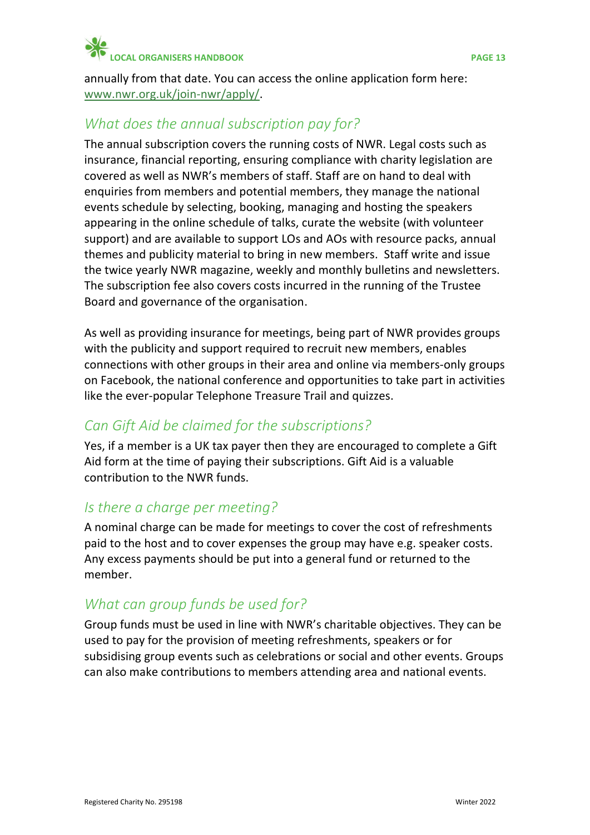

annually from that date. You can access the online application form here: [www.nwr.org.uk/join-nwr/apply/.](https://nwr.org.uk/join-nwr/apply/)

# <span id="page-12-0"></span>*What does the annual subscription pay for?*

The annual subscription covers the running costs of NWR. Legal costs such as insurance, financial reporting, ensuring compliance with charity legislation are covered as well as NWR's members of staff. Staff are on hand to deal with enquiries from members and potential members, they manage the national events schedule by selecting, booking, managing and hosting the speakers appearing in the online schedule of talks, curate the website (with volunteer support) and are available to support LOs and AOs with resource packs, annual themes and publicity material to bring in new members. Staff write and issue the twice yearly NWR magazine, weekly and monthly bulletins and newsletters. The subscription fee also covers costs incurred in the running of the Trustee Board and governance of the organisation.

As well as providing insurance for meetings, being part of NWR provides groups with the publicity and support required to recruit new members, enables connections with other groups in their area and online via members-only groups on Facebook, the national conference and opportunities to take part in activities like the ever-popular Telephone Treasure Trail and quizzes.

## <span id="page-12-1"></span>*Can Gift Aid be claimed for the subscriptions?*

Yes, if a member is a UK tax payer then they are encouraged to complete a Gift Aid form at the time of paying their subscriptions. Gift Aid is a valuable contribution to the NWR funds.

# <span id="page-12-2"></span>*Is there a charge per meeting?*

A nominal charge can be made for meetings to cover the cost of refreshments paid to the host and to cover expenses the group may have e.g. speaker costs. Any excess payments should be put into a general fund or returned to the member.

# <span id="page-12-3"></span>*What can group funds be used for?*

Group funds must be used in line with NWR's charitable objectives. They can be used to pay for the provision of meeting refreshments, speakers or for subsidising group events such as celebrations or social and other events. Groups can also make contributions to members attending area and national events.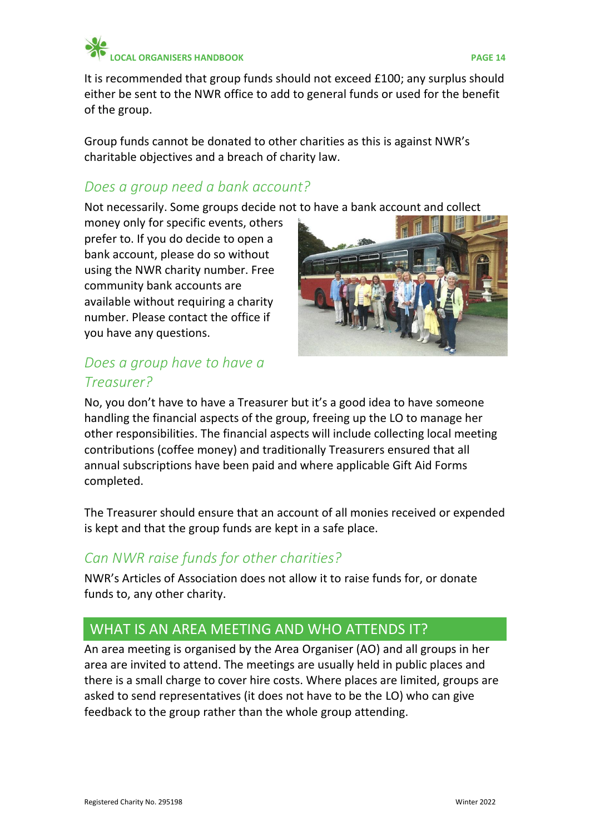

It is recommended that group funds should not exceed £100; any surplus should either be sent to the NWR office to add to general funds or used for the benefit of the group.

Group funds cannot be donated to other charities as this is against NWR's charitable objectives and a breach of charity law.

# <span id="page-13-0"></span>*Does a group need a bank account?*

Not necessarily. Some groups decide not to have a bank account and collect

money only for specific events, others prefer to. If you do decide to open a bank account, please do so without using the NWR charity number. Free community bank accounts are available without requiring a charity number. Please contact the office if you have any questions.



# <span id="page-13-1"></span>*Does a group have to have a Treasurer?*

No, you don't have to have a Treasurer but it's a good idea to have someone handling the financial aspects of the group, freeing up the LO to manage her other responsibilities. The financial aspects will include collecting local meeting contributions (coffee money) and traditionally Treasurers ensured that all annual subscriptions have been paid and where applicable Gift Aid Forms completed.

The Treasurer should ensure that an account of all monies received or expended is kept and that the group funds are kept in a safe place.

# <span id="page-13-2"></span>*Can NWR raise funds for other charities?*

NWR's Articles of Association does not allow it to raise funds for, or donate funds to, any other charity.

# <span id="page-13-3"></span>WHAT IS AN AREA MEETING AND WHO ATTENDS IT?

An area meeting is organised by the Area Organiser (AO) and all groups in her area are invited to attend. The meetings are usually held in public places and there is a small charge to cover hire costs. Where places are limited, groups are asked to send representatives (it does not have to be the LO) who can give feedback to the group rather than the whole group attending.